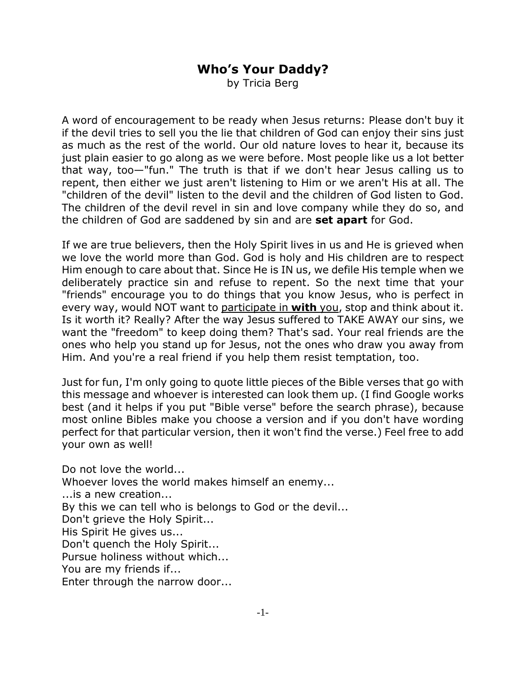## **Who's Your Daddy?**

by Tricia Berg

A word of encouragement to be ready when Jesus returns: Please don't buy it if the devil tries to sell you the lie that children of God can enjoy their sins just as much as the rest of the world. Our old nature loves to hear it, because its just plain easier to go along as we were before. Most people like us a lot better that way, too—"fun." The truth is that if we don't hear Jesus calling us to repent, then either we just aren't listening to Him or we aren't His at all. The "children of the devil" listen to the devil and the children of God listen to God. The children of the devil revel in sin and love company while they do so, and the children of God are saddened by sin and are **set apart** for God.

If we are true believers, then the Holy Spirit lives in us and He is grieved when we love the world more than God. God is holy and His children are to respect Him enough to care about that. Since He is IN us, we defile His temple when we deliberately practice sin and refuse to repent. So the next time that your "friends" encourage you to do things that you know Jesus, who is perfect in every way, would NOT want to participate in **with** you, stop and think about it. Is it worth it? Really? After the way Jesus suffered to TAKE AWAY our sins, we want the "freedom" to keep doing them? That's sad. Your real friends are the ones who help you stand up for Jesus, not the ones who draw you away from Him. And you're a real friend if you help them resist temptation, too.

Just for fun, I'm only going to quote little pieces of the Bible verses that go with this message and whoever is interested can look them up. (I find Google works best (and it helps if you put "Bible verse" before the search phrase), because most online Bibles make you choose a version and if you don't have wording perfect for that particular version, then it won't find the verse.) Feel free to add your own as well!

Do not love the world... Whoever loves the world makes himself an enemy... ...is a new creation... By this we can tell who is belongs to God or the devil... Don't grieve the Holy Spirit... His Spirit He gives us... Don't quench the Holy Spirit... Pursue holiness without which... You are my friends if... Enter through the narrow door...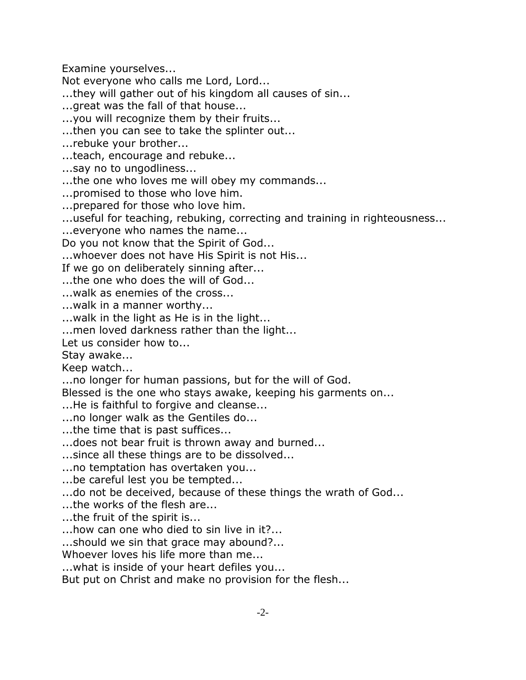Examine yourselves...

Not everyone who calls me Lord, Lord...

...they will gather out of his kingdom all causes of sin...

...great was the fall of that house...

...you will recognize them by their fruits...

...then you can see to take the splinter out...

...rebuke your brother...

...teach, encourage and rebuke...

...say no to ungodliness...

...the one who loves me will obey my commands...

...promised to those who love him.

...prepared for those who love him.

...useful for teaching, rebuking, correcting and training in righteousness...

...everyone who names the name...

Do you not know that the Spirit of God...

...whoever does not have His Spirit is not His...

If we go on deliberately sinning after...

...the one who does the will of God...

...walk as enemies of the cross...

...walk in a manner worthy...

...walk in the light as He is in the light...

...men loved darkness rather than the light...

Let us consider how to...

Stay awake...

Keep watch...

...no longer for human passions, but for the will of God.

Blessed is the one who stays awake, keeping his garments on...

...He is faithful to forgive and cleanse...

...no longer walk as the Gentiles do...

...the time that is past suffices...

...does not bear fruit is thrown away and burned...

...since all these things are to be dissolved...

...no temptation has overtaken you...

...be careful lest you be tempted...

...do not be deceived, because of these things the wrath of God...

...the works of the flesh are...

...the fruit of the spirit is...

...how can one who died to sin live in it?...

...should we sin that grace may abound?...

Whoever loves his life more than me...

...what is inside of your heart defiles you...

But put on Christ and make no provision for the flesh...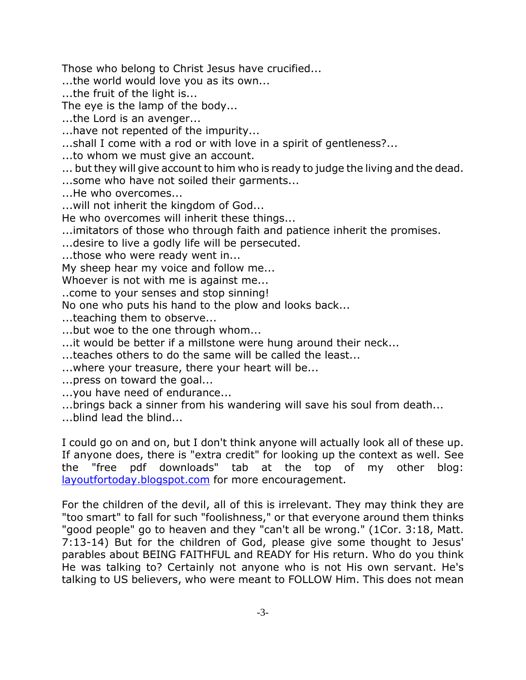Those who belong to Christ Jesus have crucified...

...the world would love you as its own...

...the fruit of the light is...

The eye is the lamp of the body...

...the Lord is an avenger...

...have not repented of the impurity...

...shall I come with a rod or with love in a spirit of gentleness?...

...to whom we must give an account.

... but they will give account to him who is ready to judge the living and the dead.

...some who have not soiled their garments...

...He who overcomes...

...will not inherit the kingdom of God...

He who overcomes will inherit these things...

...imitators of those who through faith and patience inherit the promises.

...desire to live a godly life will be persecuted.

...those who were ready went in...

My sheep hear my voice and follow me...

Whoever is not with me is against me...

..come to your senses and stop sinning!

No one who puts his hand to the plow and looks back...

...teaching them to observe...

...but woe to the one through whom...

...it would be better if a millstone were hung around their neck...

...teaches others to do the same will be called the least...

...where your treasure, there your heart will be...

...press on toward the goal...

...you have need of endurance...

...brings back a sinner from his wandering will save his soul from death...

...blind lead the blind...

I could go on and on, but I don't think anyone will actually look all of these up. If anyone does, there is "extra credit" for looking up the context as well. See the "free pdf downloads" tab at the top of my other blog: layoutfortoday.blogspot.com for more encouragement.

For the children of the devil, all of this is irrelevant. They may think they are "too smart" to fall for such "foolishness," or that everyone around them thinks "good people" go to heaven and they "can't all be wrong." (1Cor. 3:18, Matt. 7:13-14) But for the children of God, please give some thought to Jesus' parables about BEING FAITHFUL and READY for His return. Who do you think He was talking to? Certainly not anyone who is not His own servant. He's talking to US believers, who were meant to FOLLOW Him. This does not mean